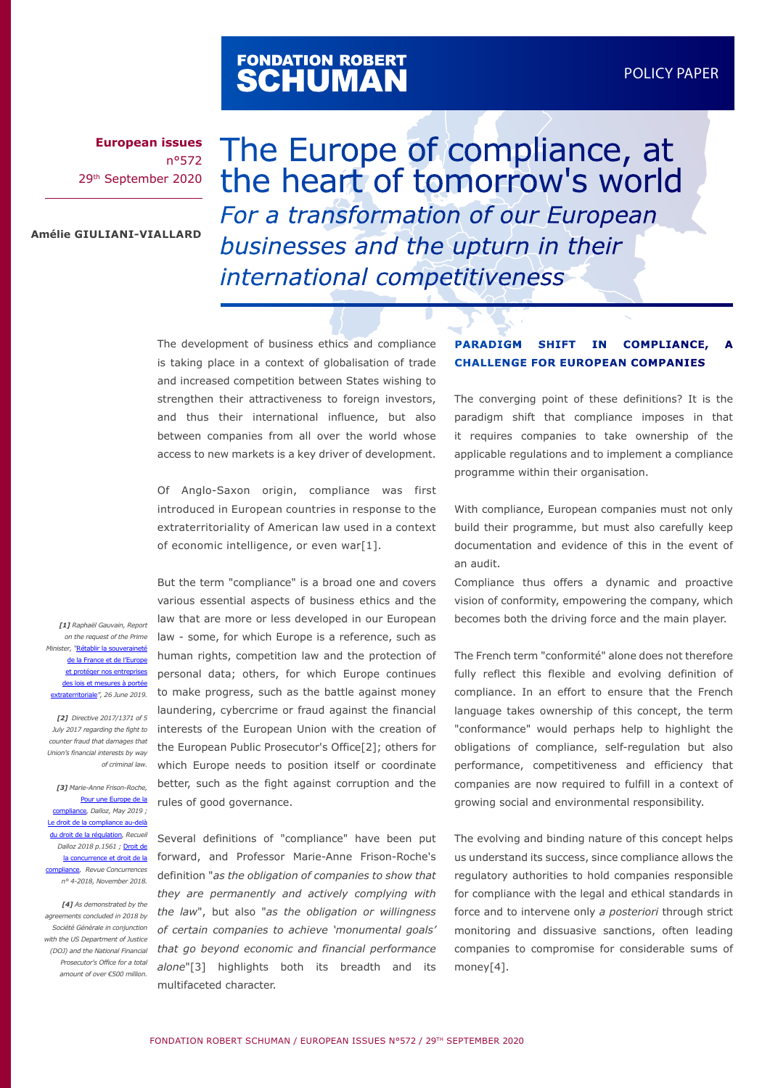# FONDATION ROBERT<br>**SCHUMAN**

**European issues** n°572 29th September 2020

The Europe of compliance, at the heart of tomorrow's world *For a transformation of our European businesses and the upturn in their international competitiveness*

**Amélie GIULIANI-VIALLARD**

The development of business ethics and compliance is taking place in a context of globalisation of trade and increased competition between States wishing to strengthen their attractiveness to foreign investors, and thus their international influence, but also between companies from all over the world whose access to new markets is a key driver of development.

Of Anglo-Saxon origin, compliance was first introduced in European countries in response to the extraterritoriality of American law used in a context of economic intelligence, or even war[1].

But the term "compliance" is a broad one and covers

*[1] Raphaël Gauvain, Report on the request of the Prime Minister, "*[Rétablir la souveraineté](https://www.vie-publique.fr/sites/default/files/rapport/pdf/194000532.pdf#https://www.vie-publique.fr/sites/default/files/rapport/pdf/194000532.pdf) de la France et de l'Europ [et protéger nos entreprises](https://www.vie-publique.fr/sites/default/files/rapport/pdf/194000532.pdf#https://www.vie-publique.fr/sites/default/files/rapport/pdf/194000532.pdf) des lois et mesures à porté [extraterritoriale](https://www.vie-publique.fr/sites/default/files/rapport/pdf/194000532.pdf#https://www.vie-publique.fr/sites/default/files/rapport/pdf/194000532.pdf)*", 26 June 2019.* 

*[2] Directive 2017/1371 of 5 counter fraud that damages that Union's financial interests by way of criminal law.*

*[3] Marie-Anne Frison-Roche,*  [Pour une Europe de la](https://www.boutique-dalloz.fr/pour-une-europe-de-la-compliance-p.html) [compliance](https://www.boutique-dalloz.fr/pour-une-europe-de-la-compliance-p.html)*, Dalloz, May 2019 ;*  [Le droit de la compliance au-delà](https://www.dalloz.fr/lien?famille=revues&dochype=RECUEIL%2FCHRON%2F2018%2F3261) [du droit de la régulation](https://www.dalloz.fr/lien?famille=revues&dochype=RECUEIL%2FCHRON%2F2018%2F3261)*, Recueil Dalloz 2018 p.1561 ;* [Droit de](https://www.concurrences.com/fr/revue/issues/no-4-2018/editorial/droit-de-la-concurrence-et-droit-de-la-compliance) [la concurrence et droit de la](https://www.concurrences.com/fr/revue/issues/no-4-2018/editorial/droit-de-la-concurrence-et-droit-de-la-compliance) [compliance](https://www.concurrences.com/fr/revue/issues/no-4-2018/editorial/droit-de-la-concurrence-et-droit-de-la-compliance)*, Revue Concurrences n° 4-2018, November 2018.*

*[4] As demonstrated by the agreements concluded in 2018 by Société Générale in conjunction with the US Department of Justice Prosecutor's Office for a total amount of over €500 million.*

July 2017 regarding the fight to interests of the European Union with the creation of various essential aspects of business ethics and the law that are more or less developed in our European law - some, for which Europe is a reference, such as human rights, competition law and the protection of personal data; others, for which Europe continues to make progress, such as the battle against money laundering, cybercrime or fraud against the financial the European Public Prosecutor's Office[2]; others for which Europe needs to position itself or coordinate better, such as the fight against corruption and the rules of good governance.

*(DOJ) and the National Financial that go beyond economic and financial performance*  Several definitions of "compliance" have been put forward, and Professor Marie-Anne Frison-Roche's definition "*as the obligation of companies to show that they are permanently and actively complying with the law*", but also "*as the obligation or willingness of certain companies to achieve 'monumental goals' alone*"[3] highlights both its breadth and its multifaceted character.

#### **PARADIGM SHIFT IN COMPLIANCE, CHALLENGE FOR EUROPEAN COMPANIES**

The converging point of these definitions? It is the paradigm shift that compliance imposes in that it requires companies to take ownership of the applicable regulations and to implement a compliance programme within their organisation.

With compliance, European companies must not only build their programme, but must also carefully keep documentation and evidence of this in the event of an audit.

Compliance thus offers a dynamic and proactive vision of conformity, empowering the company, which becomes both the driving force and the main player.

The French term "conformité" alone does not therefore fully reflect this flexible and evolving definition of compliance. In an effort to ensure that the French language takes ownership of this concept, the term "conformance" would perhaps help to highlight the obligations of compliance, self-regulation but also performance, competitiveness and efficiency that companies are now required to fulfill in a context of growing social and environmental responsibility.

The evolving and binding nature of this concept helps us understand its success, since compliance allows the regulatory authorities to hold companies responsible for compliance with the legal and ethical standards in force and to intervene only *a posteriori* through strict monitoring and dissuasive sanctions, often leading companies to compromise for considerable sums of money[4].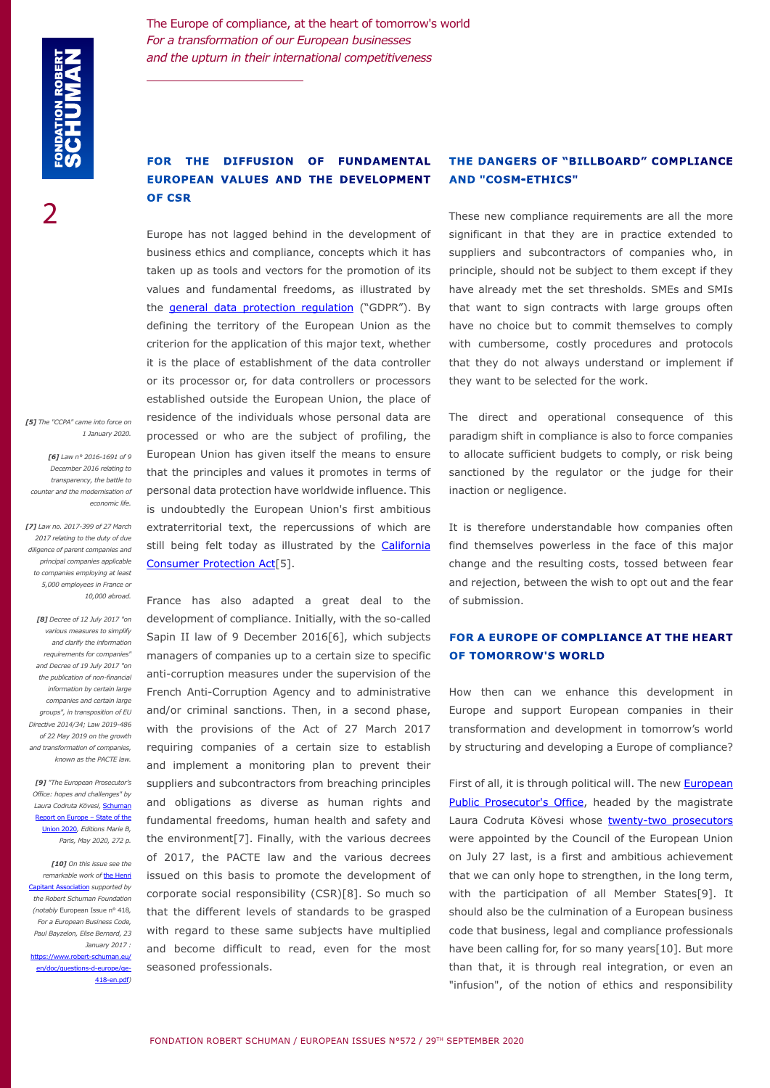2

The Europe of compliance, at the heart of tomorrow's world *For a transformation of our European businesses and the upturn in their international competitiveness*

# **FOR THE DIFFUSION OF FUNDAMENTAL EUROPEAN VALUES AND THE DEVELOPMENT OF CSR**

Europe has not lagged behind in the development of business ethics and compliance, concepts which it has taken up as tools and vectors for the promotion of its values and fundamental freedoms, as illustrated by the **general data protection regulation** ("GDPR"). By defining the territory of the European Union as the criterion for the application of this major text, whether it is the place of establishment of the data controller or its processor or, for data controllers or processors established outside the European Union, the place of residence of the individuals whose personal data are processed or who are the subject of profiling, the European Union has given itself the means to ensure that the principles and values it promotes in terms of personal data protection have worldwide influence. This is undoubtedly the European Union's first ambitious extraterritorial text, the repercussions of which are still being felt today as illustrated by the [California](https://www.oag.ca.gov/privacy/ccpa) [Consumer Protection Act\[](https://www.oag.ca.gov/privacy/ccpa)5].

France has also adapted a great deal to the development of compliance. Initially, with the so-called Sapin II law of 9 December 2016[6], which subjects managers of companies up to a certain size to specific anti-corruption measures under the supervision of the French Anti-Corruption Agency and to administrative and/or criminal sanctions. Then, in a second phase, with the provisions of the Act of 27 March 2017 requiring companies of a certain size to establish and implement a monitoring plan to prevent their suppliers and subcontractors from breaching principles and obligations as diverse as human rights and fundamental freedoms, human health and safety and the environment[7]. Finally, with the various decrees of 2017, the PACTE law and the various decrees issued on this basis to promote the development of corporate social responsibility (CSR)[8]. So much so that the different levels of standards to be grasped with regard to these same subjects have multiplied and become difficult to read, even for the most seasoned professionals.

#### **THE DANGERS OF "BILLBOARD" COMPLIANCE AND "COSM-ETHICS"**

These new compliance requirements are all the more significant in that they are in practice extended to suppliers and subcontractors of companies who, in principle, should not be subject to them except if they have already met the set thresholds. SMEs and SMIs that want to sign contracts with large groups often have no choice but to commit themselves to comply with cumbersome, costly procedures and protocols that they do not always understand or implement if they want to be selected for the work.

The direct and operational consequence of this paradigm shift in compliance is also to force companies to allocate sufficient budgets to comply, or risk being sanctioned by the regulator or the judge for their inaction or negligence.

It is therefore understandable how companies often find themselves powerless in the face of this major change and the resulting costs, tossed between fear and rejection, between the wish to opt out and the fear of submission.

### **FOR A EUROPE OF COMPLIANCE AT THE HEART OF TOMORROW'S WORLD**

How then can we enhance this development in Europe and support European companies in their transformation and development in tomorrow's world by structuring and developing a Europe of compliance?

First of all, it is through political will. The new **European** [Public Prosecutor's Office](https://ec.europa.eu/info/law/cross-border-cases/judicial-cooperation/networks-and-bodies-supporting-judicial-cooperation/european-public-prosecutors-office_en), headed by the magistrate Laura Codruta Kövesi whose twenty-two prosecutors were appointed by the Council of the European Union on July 27 last, is a first and ambitious achievement that we can only hope to strengthen, in the long term, with the participation of all Member States[9]. It should also be the culmination of a European business code that business, legal and compliance professionals have been calling for, for so many years[10]. But more than that, it is through real integration, or even an "infusion", of the notion of ethics and responsibility

*[5] The "CCPA" came into force on 1 January 2020.*

*[6] Law n° 2016-1691 of 9 December 2016 relating to transparency, the battle to counter and the modernisation of economic life.*

*[7] Law no. 2017-399 of 27 March 2017 relating to the duty of due diligence of parent companies and principal companies applicable to companies employing at least 5,000 employees in France or 10,000 abroad.*

*[8] Decree of 12 July 2017 "on various measures to simplify and clarify the information requirements for companies" and Decree of 19 July 2017 "on the publication of non-financial information by certain large companies and certain large groups", in transposition of EU Directive 2014/34; Law 2019-486 of 22 May 2019 on the growth and transformation of companies, known as the PACTE law.*

*[9] "The European Prosecutor's Office: hopes and challenges" by Laura Codruta Kövesi,* [Schuman](https://www.robert-schuman.eu/en/bookshop/0251-the-schuman-report-on-europe-the-state-of-the-union-2020)  [Report on Europe – State of the](https://www.robert-schuman.eu/en/bookshop/0251-the-schuman-report-on-europe-the-state-of-the-union-2020)  [Union 2020](https://www.robert-schuman.eu/en/bookshop/0251-the-schuman-report-on-europe-the-state-of-the-union-2020)*, Editions Marie B, Paris, May 2020, 272 p.*

*[10] On this issue see the remarkable work of* [the Henri](https://www.henricapitant.org/la-construction-europeenne-en-droit-des-affaires-acquis-et-perspectives)  [Capitant Association](https://www.henricapitant.org/la-construction-europeenne-en-droit-des-affaires-acquis-et-perspectives) *supported by the Robert Schuman Foundation (notably* European Issue n° 418*, For a European Business Code, Paul Bayzelon, Elise Bernard, 23 January 2017 :* [https://www.robert-schuman.eu/](https://www.robert-schuman.eu/en/doc/questions-d-europe/qe-418-en.pdf) [en/doc/questions-d-europe/qe-](https://www.robert-schuman.eu/en/doc/questions-d-europe/qe-418-en.pdf)[418-en.pdf](https://www.robert-schuman.eu/en/doc/questions-d-europe/qe-418-en.pdf)*)*